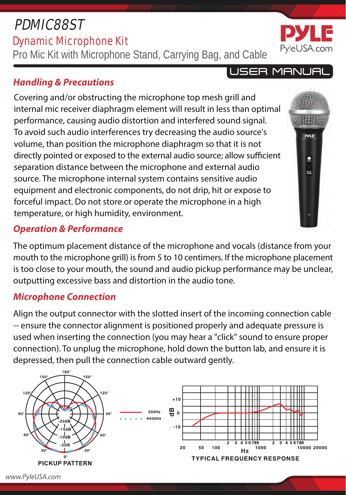# PDMIC88ST

Dynamic Microphone Kit

Pro Mic Kit with Microphone Stand, Carrying Bag, and Cable

## *Handling & Precautions*

Covering and/or obstructing the microphone top mesh grill and internal mic receiver diaphragm element will result in less than optimal performance, causing audio distortion and interfered sound signal. To avoid such audio interferences try decreasing the audio source's volume, than position the microphone diaphragm so that it is not directly pointed or exposed to the external audio source; allow sufficient separation distance between the microphone and external audio source. The microphone internal system contains sensitive audio equipment and electronic components, do not drip, hit or expose to forceful impact. Do not store or operate the microphone in a high temperature, or high humidity, environment.

## *Operation & Performance*

The optimum placement distance of the microphone and vocals (distance from your mouth to the microphone grill) is from 5 to 10 centimers. If the microphone placement is too close to your mouth, the sound and audio pickup performance may be unclear, outputting excessive bass and distortion in the audio tone.

## *Microphone Connection*

Align the output connector with the slotted insert of the incoming connection cable -- ensure the connector alignment is positioned properly and adequate pressure is used when inserting the connection (you may hear a "click" sound to ensure proper connection). To unplug the microphone, hold down the button lab, and ensure it is depressed, then pull the connection cable outward gently.





**JSER MANUA**